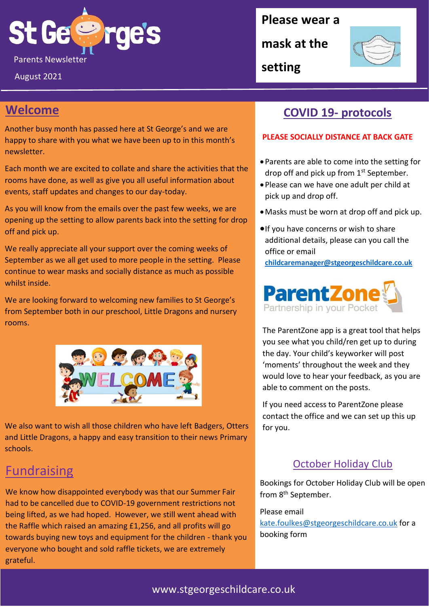

August 2021

### **Please wear a**

**mask at the** 



**setting**

## **Welcome**

Another busy month has passed here at St George's and we are happy to share with you what we have been up to in this month's newsletter.

Each month we are excited to collate and share the activities that the rooms have done, as well as give you all useful information about events, staff updates and changes to our day-today.

As you will know from the emails over the past few weeks, we are opening up the setting to allow parents back into the setting for drop off and pick up.

We really appreciate all your support over the coming weeks of September as we all get used to more people in the setting. Please continue to wear masks and socially distance as much as possible whilst inside.

We are looking forward to welcoming new families to St George's from September both in our preschool, Little Dragons and nursery rooms.



We also want to wish all those children who have left Badgers, Otters and Little Dragons, a happy and easy transition to their news Primary schools.

# **Fundraising**

We know how disappointed everybody was that our Summer Fair had to be cancelled due to COVID-19 government restrictions not being lifted, as we had hoped. However, we still went ahead with the Raffle which raised an amazing £1,256, and all profits will go towards buying new toys and equipment for the children - thank you everyone who bought and sold raffle tickets, we are extremely grateful.

## **COVID 19- protocols**

### **PLEASE SOCIALLY DISTANCE AT BACK GATE**

- Parents are able to come into the setting for drop off and pick up from  $1<sup>st</sup>$  September.
- Please can we have one adult per child at pick up and drop off.
- •Masks must be worn at drop off and pick up.
- •If you have concerns or wish to share additional details, please can you call the office or email

**[childcaremanager@stgeorgeschildcare.co.uk](mailto:childcaremanager@stgeorgeschildcare.co.uk)**



The ParentZone app is a great tool that helps you see what you child/ren get up to during the day. Your child's keyworker will post 'moments' throughout the week and they would love to hear your feedback, as you are able to comment on the posts.

If you need access to ParentZone please contact the office and we can set up this up for you.

### October Holiday Club

Bookings for October Holiday Club will be open from 8<sup>th</sup> September.

Please email [kate.foulkes@stgeorgeschildcare.co.uk](mailto:kate.foulkes@stgeorgeschildcare.co.uk) for a booking form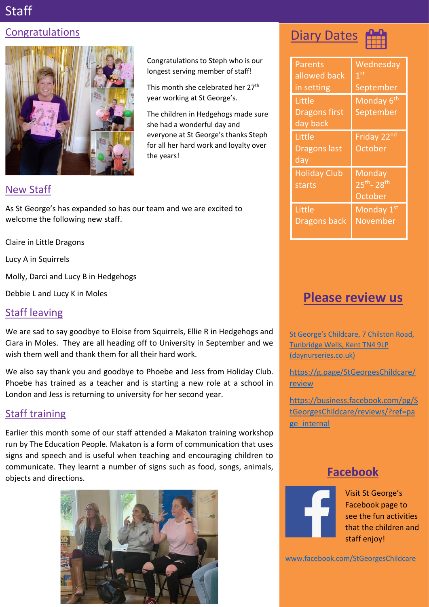# Staff

## Congratulations



## New Staff

As St George's has expanded so has our team and we are excited to welcome the following new staff.

Claire in Little Dragons

Lucy A in Squirrels

Molly, Darci and Lucy B in Hedgehogs

Debbie L and Lucy K in Moles

## Staff leaving

We are sad to say goodbye to Eloise from Squirrels, Ellie R in Hedgehogs and Ciara in Moles. They are all heading off to University in September and we wish them well and thank them for all their hard work.

We also say thank you and goodbye to Phoebe and Jess from Holiday Club. Phoebe has trained as a teacher and is starting a new role at a school in London and Jess is returning to university for her second year.

## Staff training

Earlier this month some of our staff attended a Makaton training workshop run by The Education People. Makaton is a form of communication that uses signs and speech and is useful when teaching and encouraging children to communicate. They learnt a number of signs such as food, songs, animals, objects and directions. **Facebook**



Congratulations to Steph who is our longest serving member of staff!

This month she celebrated her 27<sup>th</sup> year working at St George's.

The children in Hedgehogs made sure she had a wonderful day and everyone at St George's thanks Steph for all her hard work and loyalty over the years!

# **Diary Dates**



| Parents<br>allowed back<br>in setting      | Wednesday<br>$\overline{1}$ st<br>September |
|--------------------------------------------|---------------------------------------------|
| Little<br><b>Dragons first</b><br>day back | Monday 6 <sup>th</sup><br>September         |
| Little<br><b>Dragons last</b><br>day       | Friday 22nd<br>October                      |
| <b>Holiday Club</b><br>starts              | Monday<br>$25^{th} - 28^{th}$<br>October    |
| Little<br>Dragons back                     | Monday <sub>1st</sub><br>November           |

# **Please review us**

St George's Childcare, 7 Chilston Road, [Tunbridge Wells, Kent TN4 9LP](https://www.daynurseries.co.uk/daynursery.cfm/searchazref/50001050GEOA/rcsid/1001#submit-review-tab)  [\(daynurseries.co.uk\)](https://www.daynurseries.co.uk/daynursery.cfm/searchazref/50001050GEOA/rcsid/1001#submit-review-tab)

[https://g.page/StGeorgesChildcare/](https://g.page/StGeorgesChildcare/review) [review](https://g.page/StGeorgesChildcare/review)

[https://business.facebook.com/pg/S](https://business.facebook.com/pg/StGeorgesChildcare/reviews/?ref=page_internal) [tGeorgesChildcare/reviews/?ref=pa](https://business.facebook.com/pg/StGeorgesChildcare/reviews/?ref=page_internal) ge internal



Visit St George's Facebook page to see the fun activities that the children and staff enjoy!

[www.facebook.com/StGeorgesChildcare](http://www.facebook.com/StGeorgesChildcare)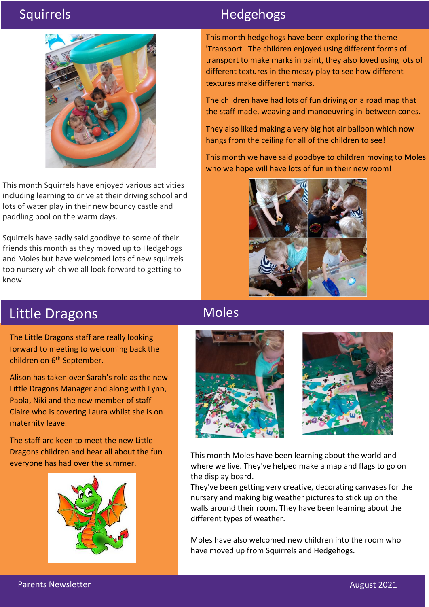

This month Squirrels have enjoyed various activities including learning to drive at their driving school and lots of water play in their new bouncy castle and paddling pool on the warm days.

Squirrels have sadly said goodbye to some of their friends this month as they moved up to Hedgehogs and Moles but have welcomed lots of new squirrels too nursery which we all look forward to getting to know.

# Squirrels **Hedgehogs**

This month hedgehogs have been exploring the theme 'Transport'. The children enjoyed using different forms of transport to make marks in paint, they also loved using lots of different textures in the messy play to see how different textures make different marks.

The children have had lots of fun driving on a road map that the staff made, weaving and manoeuvring in-between cones.

They also liked making a very big hot air balloon which now hangs from the ceiling for all of the children to see!

This month we have said goodbye to children moving to Moles who we hope will have lots of fun in their new room!



# Little Dragons

The Little Dragons staff are really looking forward to meeting to welcoming back the children on 6<sup>th</sup> September.

Alison has taken over Sarah's role as the new Little Dragons Manager and along with Lynn, Paola, Niki and the new member of staff Claire who is covering Laura whilst she is on maternity leave.

The staff are keen to meet the new Little Dragons children and hear all about the fun everyone has had over the summer.



# Moles





This month Moles have been learning about the world and where we live. They've helped make a map and flags to go on the display board.

They've been getting very creative, decorating canvases for the nursery and making big weather pictures to stick up on the walls around their room. They have been learning about the different types of weather.

Moles have also welcomed new children into the room who have moved up from Squirrels and Hedgehogs.